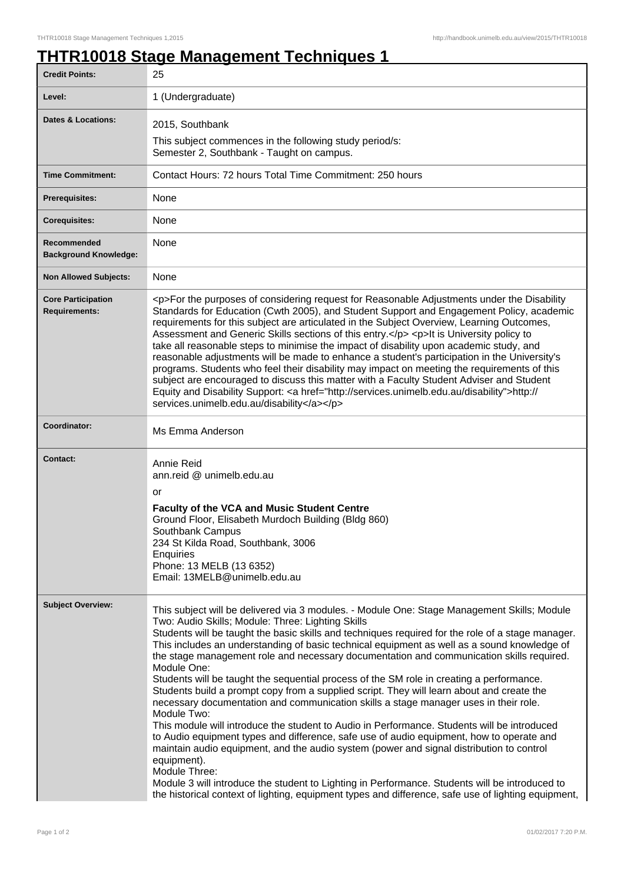## **THTR10018 Stage Management Techniques 1**

| <b>Credit Points:</b>                             | 25                                                                                                                                                                                                                                                                                                                                                                                                                                                                                                                                                                                                                                                                                                                                                                                                                                                                                                                                                                                                                                                                                                                                                                                                                                                                                              |
|---------------------------------------------------|-------------------------------------------------------------------------------------------------------------------------------------------------------------------------------------------------------------------------------------------------------------------------------------------------------------------------------------------------------------------------------------------------------------------------------------------------------------------------------------------------------------------------------------------------------------------------------------------------------------------------------------------------------------------------------------------------------------------------------------------------------------------------------------------------------------------------------------------------------------------------------------------------------------------------------------------------------------------------------------------------------------------------------------------------------------------------------------------------------------------------------------------------------------------------------------------------------------------------------------------------------------------------------------------------|
| Level:                                            | 1 (Undergraduate)                                                                                                                                                                                                                                                                                                                                                                                                                                                                                                                                                                                                                                                                                                                                                                                                                                                                                                                                                                                                                                                                                                                                                                                                                                                                               |
| Dates & Locations:                                | 2015, Southbank                                                                                                                                                                                                                                                                                                                                                                                                                                                                                                                                                                                                                                                                                                                                                                                                                                                                                                                                                                                                                                                                                                                                                                                                                                                                                 |
|                                                   | This subject commences in the following study period/s:<br>Semester 2, Southbank - Taught on campus.                                                                                                                                                                                                                                                                                                                                                                                                                                                                                                                                                                                                                                                                                                                                                                                                                                                                                                                                                                                                                                                                                                                                                                                            |
| <b>Time Commitment:</b>                           | Contact Hours: 72 hours Total Time Commitment: 250 hours                                                                                                                                                                                                                                                                                                                                                                                                                                                                                                                                                                                                                                                                                                                                                                                                                                                                                                                                                                                                                                                                                                                                                                                                                                        |
| <b>Prerequisites:</b>                             | <b>None</b>                                                                                                                                                                                                                                                                                                                                                                                                                                                                                                                                                                                                                                                                                                                                                                                                                                                                                                                                                                                                                                                                                                                                                                                                                                                                                     |
| <b>Corequisites:</b>                              | <b>None</b>                                                                                                                                                                                                                                                                                                                                                                                                                                                                                                                                                                                                                                                                                                                                                                                                                                                                                                                                                                                                                                                                                                                                                                                                                                                                                     |
| Recommended<br><b>Background Knowledge:</b>       | None                                                                                                                                                                                                                                                                                                                                                                                                                                                                                                                                                                                                                                                                                                                                                                                                                                                                                                                                                                                                                                                                                                                                                                                                                                                                                            |
| <b>Non Allowed Subjects:</b>                      | None                                                                                                                                                                                                                                                                                                                                                                                                                                                                                                                                                                                                                                                                                                                                                                                                                                                                                                                                                                                                                                                                                                                                                                                                                                                                                            |
| <b>Core Participation</b><br><b>Requirements:</b> | <p>For the purposes of considering request for Reasonable Adjustments under the Disability<br/>Standards for Education (Cwth 2005), and Student Support and Engagement Policy, academic<br/>requirements for this subject are articulated in the Subject Overview, Learning Outcomes,<br/>Assessment and Generic Skills sections of this entry.</p> <p>It is University policy to<br/>take all reasonable steps to minimise the impact of disability upon academic study, and<br/>reasonable adjustments will be made to enhance a student's participation in the University's<br/>programs. Students who feel their disability may impact on meeting the requirements of this<br/>subject are encouraged to discuss this matter with a Faculty Student Adviser and Student<br/>Equity and Disability Support: &lt; a href="http://services.unimelb.edu.au/disability"&gt;http://<br/>services.unimelb.edu.au/disability</p>                                                                                                                                                                                                                                                                                                                                                                    |
| <b>Coordinator:</b>                               | Ms Emma Anderson                                                                                                                                                                                                                                                                                                                                                                                                                                                                                                                                                                                                                                                                                                                                                                                                                                                                                                                                                                                                                                                                                                                                                                                                                                                                                |
| <b>Contact:</b>                                   | Annie Reid<br>ann.reid @ unimelb.edu.au<br>or<br>Faculty of the VCA and Music Student Centre<br>Ground Floor, Elisabeth Murdoch Building (Bldg 860)<br>Southbank Campus<br>234 St Kilda Road, Southbank, 3006<br>Enquiries<br>Phone: 13 MELB (13 6352)<br>Email: 13MELB@unimelb.edu.au                                                                                                                                                                                                                                                                                                                                                                                                                                                                                                                                                                                                                                                                                                                                                                                                                                                                                                                                                                                                          |
| <b>Subject Overview:</b>                          | This subject will be delivered via 3 modules. - Module One: Stage Management Skills; Module<br>Two: Audio Skills; Module: Three: Lighting Skills<br>Students will be taught the basic skills and techniques required for the role of a stage manager.<br>This includes an understanding of basic technical equipment as well as a sound knowledge of<br>the stage management role and necessary documentation and communication skills required.<br>Module One:<br>Students will be taught the sequential process of the SM role in creating a performance.<br>Students build a prompt copy from a supplied script. They will learn about and create the<br>necessary documentation and communication skills a stage manager uses in their role.<br>Module Two:<br>This module will introduce the student to Audio in Performance. Students will be introduced<br>to Audio equipment types and difference, safe use of audio equipment, how to operate and<br>maintain audio equipment, and the audio system (power and signal distribution to control<br>equipment).<br>Module Three:<br>Module 3 will introduce the student to Lighting in Performance. Students will be introduced to<br>the historical context of lighting, equipment types and difference, safe use of lighting equipment, |